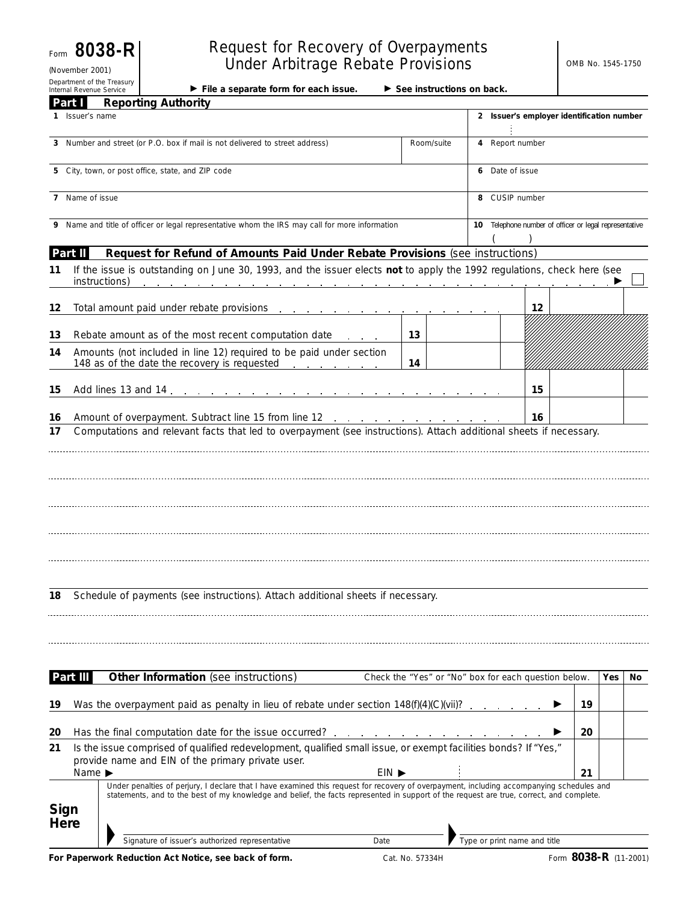Form **8038-R** (November 2001)

Department of the Treasury<br>Internal Revenue Service

# Request for Recovery of Overpayments Under Arbitrage Rebate Provisions

Internal Revenue Service **Super Sections on back.** File a separate form for each issue. See instructions on back.

|          | Part I                                                                                                                                                   | <b>Reporting Authority</b>                                                                                                                                                                                                                                                            |            |                                                      |    |     |     |
|----------|----------------------------------------------------------------------------------------------------------------------------------------------------------|---------------------------------------------------------------------------------------------------------------------------------------------------------------------------------------------------------------------------------------------------------------------------------------|------------|------------------------------------------------------|----|-----|-----|
|          | 1 Issuer's name                                                                                                                                          |                                                                                                                                                                                                                                                                                       |            | 2 Issuer's employer identification number            |    |     |     |
|          |                                                                                                                                                          | 3 Number and street (or P.O. box if mail is not delivered to street address)                                                                                                                                                                                                          | Room/suite | 4 Report number                                      |    |     |     |
|          |                                                                                                                                                          | 5 City, town, or post office, state, and ZIP code                                                                                                                                                                                                                                     |            | 6 Date of issue                                      |    |     |     |
|          | 7 Name of issue                                                                                                                                          |                                                                                                                                                                                                                                                                                       |            | 8 CUSIP number                                       |    |     |     |
|          | 9 Name and title of officer or legal representative whom the IRS may call for more information<br>10 Telephone number of officer or legal representative |                                                                                                                                                                                                                                                                                       |            |                                                      |    |     |     |
|          | Part II                                                                                                                                                  | Request for Refund of Amounts Paid Under Rebate Provisions (see instructions)                                                                                                                                                                                                         |            |                                                      |    |     |     |
| 11       |                                                                                                                                                          | If the issue is outstanding on June 30, 1993, and the issuer elects not to apply the 1992 regulations, check here (see<br>instructions)                                                                                                                                               |            |                                                      |    |     |     |
| 12       |                                                                                                                                                          | Total amount paid under rebate provisions                                                                                                                                                                                                                                             |            | 12                                                   |    |     |     |
| 13       |                                                                                                                                                          | Rebate amount as of the most recent computation date                                                                                                                                                                                                                                  | 13         |                                                      |    |     |     |
| 14       |                                                                                                                                                          | Amounts (not included in line 12) required to be paid under section<br>148 as of the date the recovery is requested                                                                                                                                                                   | 14         |                                                      |    |     |     |
| 15       |                                                                                                                                                          | Add lines 13 and 14<br>the contract of the contract of the contract of                                                                                                                                                                                                                |            | 15                                                   |    |     |     |
|          |                                                                                                                                                          |                                                                                                                                                                                                                                                                                       |            |                                                      |    |     |     |
| 16<br>17 |                                                                                                                                                          | Amount of overpayment. Subtract line 15 from line 12<br>Computations and relevant facts that led to overpayment (see instructions). Attach additional sheets if necessary.                                                                                                            |            | 16                                                   |    |     |     |
|          |                                                                                                                                                          |                                                                                                                                                                                                                                                                                       |            |                                                      |    |     |     |
| 18       |                                                                                                                                                          | Schedule of payments (see instructions). Attach additional sheets if necessary.                                                                                                                                                                                                       |            |                                                      |    |     |     |
|          |                                                                                                                                                          |                                                                                                                                                                                                                                                                                       |            |                                                      |    |     |     |
|          | Part III                                                                                                                                                 | Other Information (see instructions)                                                                                                                                                                                                                                                  |            | Check the "Yes" or "No" box for each question below. |    | Yes | No. |
| 19       |                                                                                                                                                          | Was the overpayment paid as penalty in lieu of rebate under section $148(f)(4)(C)(vi)$ ?                                                                                                                                                                                              |            |                                                      | 19 |     |     |
| 20       |                                                                                                                                                          | Has the final computation date for the issue occurred?                                                                                                                                                                                                                                |            |                                                      | 20 |     |     |
| 21       |                                                                                                                                                          | Is the issue comprised of qualified redevelopment, qualified small issue, or exempt facilities bonds? If "Yes,"<br>provide name and EIN of the primary private user.                                                                                                                  |            |                                                      |    |     |     |
|          | Name $\blacktriangleright$                                                                                                                               | $EIN$ $\blacktriangleright$                                                                                                                                                                                                                                                           |            |                                                      | 21 |     |     |
|          | Sign<br>Here                                                                                                                                             | Under penalties of perjury, I declare that I have examined this request for recovery of overpayment, including accompanying schedules and<br>statements, and to the best of my knowledge and belief, the facts represented in support of the request are true, correct, and complete. |            |                                                      |    |     |     |
|          |                                                                                                                                                          | Signature of issuer's authorized representative<br>Date                                                                                                                                                                                                                               |            | Type or print name and title                         |    |     |     |